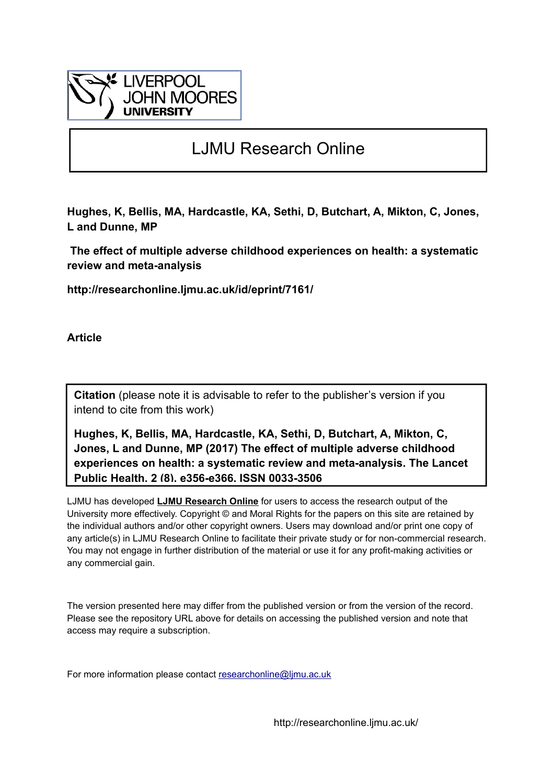

# LJMU Research Online

**Hughes, K, Bellis, MA, Hardcastle, KA, Sethi, D, Butchart, A, Mikton, C, Jones, L and Dunne, MP**

 **The effect of multiple adverse childhood experiences on health: a systematic review and meta-analysis**

**http://researchonline.ljmu.ac.uk/id/eprint/7161/**

**Article**

**Citation** (please note it is advisable to refer to the publisher's version if you intend to cite from this work)

**Hughes, K, Bellis, MA, Hardcastle, KA, Sethi, D, Butchart, A, Mikton, C, Jones, L and Dunne, MP (2017) The effect of multiple adverse childhood experiences on health: a systematic review and meta-analysis. The Lancet Public Health, 2 (8). e356-e366. ISSN 0033-3506** 

LJMU has developed **[LJMU Research Online](http://researchonline.ljmu.ac.uk/)** for users to access the research output of the University more effectively. Copyright © and Moral Rights for the papers on this site are retained by the individual authors and/or other copyright owners. Users may download and/or print one copy of any article(s) in LJMU Research Online to facilitate their private study or for non-commercial research. You may not engage in further distribution of the material or use it for any profit-making activities or any commercial gain.

The version presented here may differ from the published version or from the version of the record. Please see the repository URL above for details on accessing the published version and note that access may require a subscription.

For more information please contact researchonline@limu.ac.uk

http://researchonline.ljmu.ac.uk/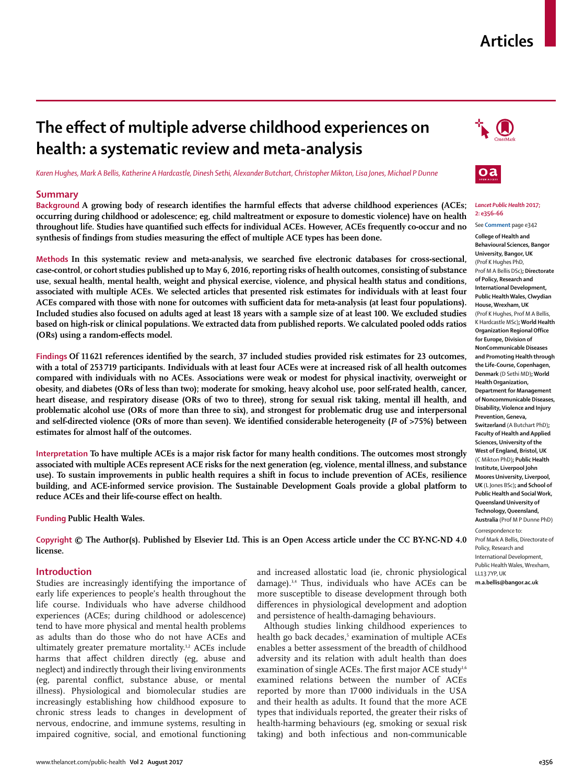## **Articles**

## **The effect of multiple adverse childhood experiences on health: a systematic review and meta-analysis**

*Karen Hughes, Mark A Bellis, Katherine A Hardcastle, Dinesh Sethi, Alexander Butchart, Christopher Mikton, Lisa Jones, Michael P Dunne*

## **Summary**

**Background A growing body of research identifies the harmful effects that adverse childhood experiences (ACEs; occurring during childhood or adolescence; eg, child maltreatment or exposure to domestic violence) have on health throughout life. Studies have quantified such effects for individual ACEs. However, ACEs frequently co-occur and no synthesis of findings from studies measuring the effect of multiple ACE types has been done.**

**Methods In this systematic review and meta-analysis, we searched five electronic databases for cross-sectional, case-control, or cohort studies published up to May 6, 2016, reporting risks of health outcomes, consisting of substance use, sexual health, mental health, weight and physical exercise, violence, and physical health status and conditions, associated with multiple ACEs. We selected articles that presented risk estimates for individuals with at least four ACEs compared with those with none for outcomes with sufficient data for meta-analysis (at least four populations). Included studies also focused on adults aged at least 18 years with a sample size of at least 100. We excluded studies based on high-risk or clinical populations. We extracted data from published reports. We calculated pooled odds ratios (ORs) using a random-effects model.**

**Findings Of 11621 references identified by the search, 37 included studies provided risk estimates for 23 outcomes, with a total of 253 719 participants. Individuals with at least four ACEs were at increased risk of all health outcomes compared with individuals with no ACEs. Associations were weak or modest for physical inactivity, overweight or obesity, and diabetes (ORs of less than two); moderate for smoking, heavy alcohol use, poor self-rated health, cancer, heart disease, and respiratory disease (ORs of two to three), strong for sexual risk taking, mental ill health, and problematic alcohol use (ORs of more than three to six), and strongest for problematic drug use and interpersonal and self-directed violence (ORs of more than seven). We identified considerable heterogeneity (***I***² of >75%) between estimates for almost half of the outcomes.**

**Interpretation To have multiple ACEs is a major risk factor for many health conditions. The outcomes most strongly associated with multiple ACEs represent ACE risks for the next generation (eg, violence, mental illness, and substance use). To sustain improvements in public health requires a shift in focus to include prevention of ACEs, resilience building, and ACE-informed service provision. The Sustainable Development Goals provide a global platform to reduce ACEs and their life-course effect on health.**

**Funding Public Health Wales.**

**Copyright © The Author(s). Published by Elsevier Ltd. This is an Open Access article under the CC BY-NC-ND 4.0 license.**

## **Introduction**

Studies are increasingly identifying the importance of early life experiences to people's health throughout the life course. Individuals who have adverse childhood experiences (ACEs; during childhood or adolescence) tend to have more physical and mental health problems as adults than do those who do not have ACEs and ultimately greater premature mortality.<sup>1,2</sup> ACEs include harms that affect children directly (eg, abuse and neglect) and indirectly through their living environments (eg, parental conflict, substance abuse, or mental illness). Physiological and biomolecular studies are increasingly establishing how childhood exposure to chronic stress leads to changes in development of nervous, endocrine, and immune systems, resulting in impaired cognitive, social, and emotional functioning and increased allostatic load (ie, chronic physiological damage).3,4 Thus, individuals who have ACEs can be more susceptible to disease development through both differences in physiological development and adoption and persistence of health-damaging behaviours.

Although studies linking childhood experiences to health go back decades,<sup>5</sup> examination of multiple ACEs enables a better assessment of the breadth of childhood adversity and its relation with adult health than does examination of single ACEs. The first major ACE study<sup>1,6</sup> examined relations between the number of ACEs reported by more than 17 000 individuals in the USA and their health as adults. It found that the more ACE types that individuals reported, the greater their risks of health-harming behaviours (eg, smoking or sexual risk taking) and both infectious and non-communicable





## *Lancet Public Health* **2017; 2: e356–66**

See **Comment** page e342 **College of Health and Behavioural Sciences, Bangor University, Bangor, UK**  (Prof K Hughes PhD, Prof M A Bellis DSc)**; Directorate of Policy, Research and International Development, Public Health Wales, Clwydian House, Wrexham, UK**  (Prof K Hughes, Prof M A Bellis, K Hardcastle MSc)**; World Health Organization Regional Office for Europe, Division of NonCommunicable Diseases and Promoting Health through the Life-Course, Copenhagen, Denmark** (D Sethi MD)**; World Health Organization, Department for Management of Noncommunicable Diseases, Disability, Violence and Injury Prevention, Geneva, Switzerland** (A Butchart PhD)**; Faculty of Health and Applied Sciences, University of the West of England, Bristol, UK** (C Mikton PhD)**; Public Health Institute, Liverpool John Moores University, Liverpool, UK** (L Jones BSc)**; and School of Public Health and Social Work, Queensland University of Technology, Queensland, Australia** (Prof M P Dunne PhD)

Correspondence to: Prof Mark A Bellis, Directorate of Policy, Research and International Development, Public Health Wales, Wrexham, LL13 7YP, UK **m.a.bellis@bangor.ac.uk**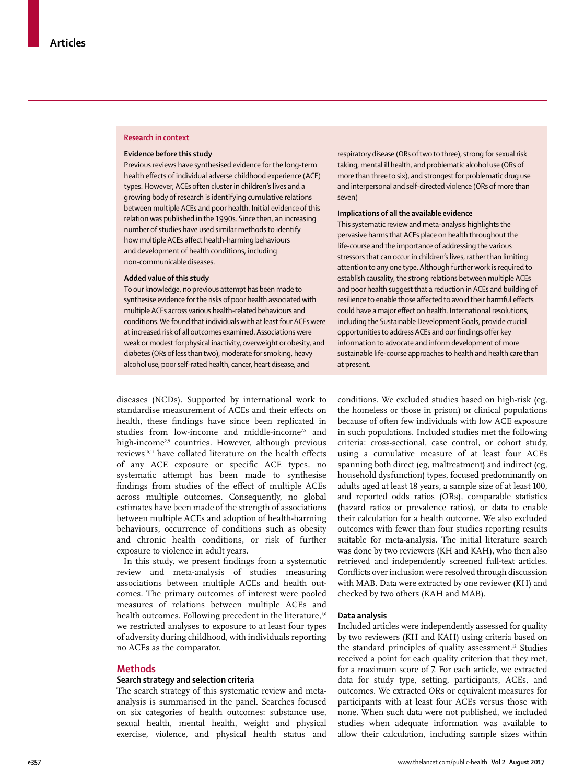#### **Research in context**

### **Evidence before this study**

Previous reviews have synthesised evidence for the long-term health effects of individual adverse childhood experience (ACE) types. However, ACEs often cluster in children's lives and a growing body of research is identifying cumulative relations between multiple ACEs and poor health. Initial evidence of this relation was published in the 1990s. Since then, an increasing number of studies have used similar methods to identify how multiple ACEs affect health-harming behaviours and development of health conditions, including non-communicable diseases.

#### **Added value of this study**

To our knowledge, no previous attempt has been made to synthesise evidence for the risks of poor health associated with multiple ACEs across various health-related behaviours and conditions. We found that individuals with at least four ACEs were at increased risk of all outcomes examined. Associations were weak or modest for physical inactivity, overweight or obesity, and diabetes (ORs of less than two), moderate for smoking, heavy alcohol use, poor self-rated health, cancer, heart disease, and

respiratory disease (ORs of two to three), strong for sexual risk taking, mental ill health, and problematic alcohol use (ORs of more than three to six), and strongest for problematic drug use and interpersonal and self-directed violence (ORs of more than seven)

#### **Implications of all the available evidence**

This systematic review and meta-analysis highlights the pervasive harms that ACEs place on health throughout the life-course and the importance of addressing the various stressors that can occur in children's lives, rather than limiting attention to any one type. Although further work is required to establish causality, the strong relations between multiple ACEs and poor health suggest that a reduction in ACEs and building of resilience to enable those affected to avoid their harmful effects could have a major effect on health. International resolutions, including the Sustainable Development Goals, provide crucial opportunities to address ACEs and our findings offer key information to advocate and inform development of more sustainable life-course approaches to health and health care than at present.

diseases (NCDs). Supported by international work to standardise measurement of ACEs and their effects on health, these findings have since been replicated in studies from low-income and middle-income<sup>7,8</sup> and high-income<sup>2,9</sup> countries. However, although previous reviews<sup>10,11</sup> have collated literature on the health effects of any ACE exposure or specific ACE types, no systematic attempt has been made to synthesise findings from studies of the effect of multiple ACEs across multiple outcomes. Consequently, no global estimates have been made of the strength of associations between multiple ACEs and adoption of health-harming behaviours, occurrence of conditions such as obesity and chronic health conditions, or risk of further exposure to violence in adult years.

In this study, we present findings from a systematic review and meta-analysis of studies measuring associations between multiple ACEs and health outcomes. The primary outcomes of interest were pooled measures of relations between multiple ACEs and health outcomes. Following precedent in the literature,<sup>1,6</sup> we restricted analyses to exposure to at least four types of adversity during childhood, with individuals reporting no ACEs as the comparator.

## **Methods**

#### **Search strategy and selection criteria**

The search strategy of this systematic review and metaanalysis is summarised in the panel. Searches focused on six categories of health outcomes: substance use, sexual health, mental health, weight and physical exercise, violence, and physical health status and conditions. We excluded studies based on high-risk (eg, the homeless or those in prison) or clinical populations because of often few individuals with low ACE exposure in such populations. Included studies met the following criteria: cross-sectional, case control, or cohort study, using a cumulative measure of at least four ACEs spanning both direct (eg, maltreatment) and indirect (eg, household dysfunction) types, focused predominantly on adults aged at least 18 years, a sample size of at least 100, and reported odds ratios (ORs), comparable statistics (hazard ratios or prevalence ratios), or data to enable their calculation for a health outcome. We also excluded outcomes with fewer than four studies reporting results suitable for meta-analysis. The initial literature search was done by two reviewers (KH and KAH), who then also retrieved and independently screened full-text articles. Conflicts over inclusion were resolved through discussion with MAB. Data were extracted by one reviewer (KH) and checked by two others (KAH and MAB).

## **Data analysis**

Included articles were independently assessed for quality by two reviewers (KH and KAH) using criteria based on the standard principles of quality assessment.<sup>12</sup> Studies received a point for each quality criterion that they met, for a maximum score of 7. For each article, we extracted data for study type, setting, participants, ACEs, and outcomes. We extracted ORs or equivalent measures for participants with at least four ACEs versus those with none. When such data were not published, we included studies when adequate information was available to allow their calculation, including sample sizes within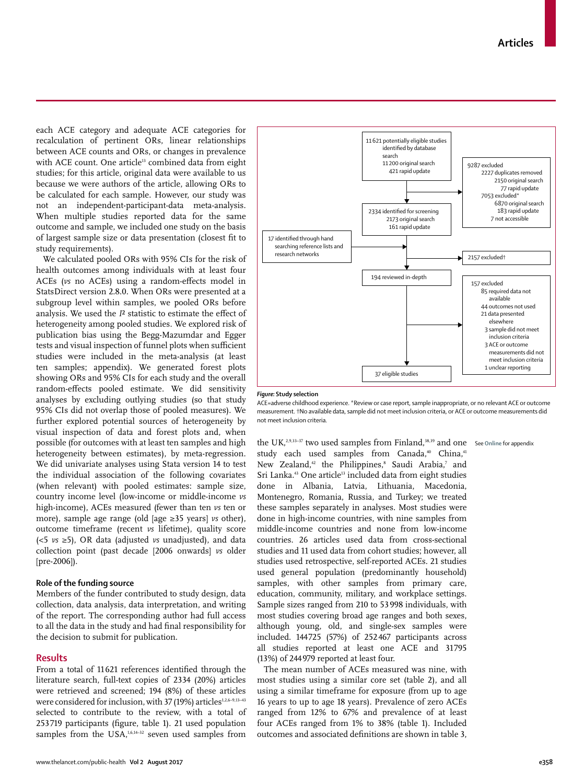each ACE category and adequate ACE categories for recalculation of pertinent ORs, linear relationships between ACE counts and ORs, or changes in prevalence with ACE count. One article<sup>13</sup> combined data from eight studies; for this article, original data were available to us because we were authors of the article, allowing ORs to be calculated for each sample. However, our study was not an independent-participant-data meta-analysis. When multiple studies reported data for the same outcome and sample, we included one study on the basis of largest sample size or data presentation (closest fit to study requirements).

We calculated pooled ORs with 95% CIs for the risk of health outcomes among individuals with at least four ACEs (*vs* no ACEs) using a random-effects model in StatsDirect version 2.8.0. When ORs were presented at a subgroup level within samples, we pooled ORs before analysis. We used the *I*² statistic to estimate the effect of heterogeneity among pooled studies. We explored risk of publication bias using the Begg-Mazumdar and Egger tests and visual inspection of funnel plots when sufficient studies were included in the meta-analysis (at least ten samples; appendix). We generated forest plots showing ORs and 95% CIs for each study and the overall random-effects pooled estimate. We did sensitivity analyses by excluding outlying studies (so that study 95% CIs did not overlap those of pooled measures). We further explored potential sources of heterogeneity by visual inspection of data and forest plots and, when possible (for outcomes with at least ten samples and high heterogeneity between estimates), by meta-regression. We did univariate analyses using Stata version 14 to test the individual association of the following covariates (when relevant) with pooled estimates: sample size, country income level (low-income or middle-income *vs* high-income), ACEs measured (fewer than ten *vs* ten or more), sample age range (old [age ≥35 years] *vs* other), outcome timeframe (recent *vs* lifetime), quality score (<5 *vs* ≥5), OR data (adjusted *vs* unadjusted), and data collection point (past decade [2006 onwards] *vs* older [pre-2006]).

## **Role of the funding source**

Members of the funder contributed to study design, data collection, data analysis, data interpretation, and writing of the report. The corresponding author had full access to all the data in the study and had final responsibility for the decision to submit for publication.

## **Results**

From a total of 11621 references identified through the literature search, full-text copies of 2334 (20%) articles were retrieved and screened; 194 (8%) of these articles were considered for inclusion, with 37 (19%) articles<sup>1,2,6-9,13-43</sup> selected to contribute to the review, with a total of 253719 participants (figure, table 1). 21 used population samples from the USA, $1,6,14-32$  seven used samples from



*Figure:* **Study selection**

ACE=adverse childhood experience. \*Review or case report, sample inappropriate, or no relevant ACE or outcome measurement. †No available data, sample did not meet inclusion criteria, or ACE or outcome measurements did not meet inclusion criteria.

the UK,<sup>2,9,33-37</sup> two used samples from Finland,<sup>38,39</sup> and one See Online for appendix study each used samples from Canada,<sup>40</sup> China,<sup>41</sup> New Zealand,<sup>42</sup> the Philippines,<sup>8</sup> Saudi Arabia,<sup>7</sup> and Sri Lanka.<sup>43</sup> One article<sup>13</sup> included data from eight studies done in Albania, Latvia, Lithuania, Macedonia, Montenegro, Romania, Russia, and Turkey; we treated these samples separately in analyses. Most studies were done in high-income countries, with nine samples from middle-income countries and none from low-income countries. 26 articles used data from cross-sectional studies and 11 used data from cohort studies; however, all studies used retrospective, self-reported ACEs. 21 studies used general population (predominantly household) samples, with other samples from primary care, education, community, military, and workplace settings. Sample sizes ranged from 210 to 53998 individuals, with most studies covering broad age ranges and both sexes, although young, old, and single-sex samples were included. 144 725 (57%) of 252467 participants across all studies reported at least one ACE and 31795 (13%) of 244979 reported at least four.

The mean number of ACEs measured was nine, with most studies using a similar core set (table 2), and all using a similar timeframe for exposure (from up to age 16 years to up to age 18 years). Prevalence of zero ACEs ranged from 12% to 67% and prevalence of at least four ACEs ranged from 1% to 38% (table 1). Included outcomes and associated definitions are shown in table 3,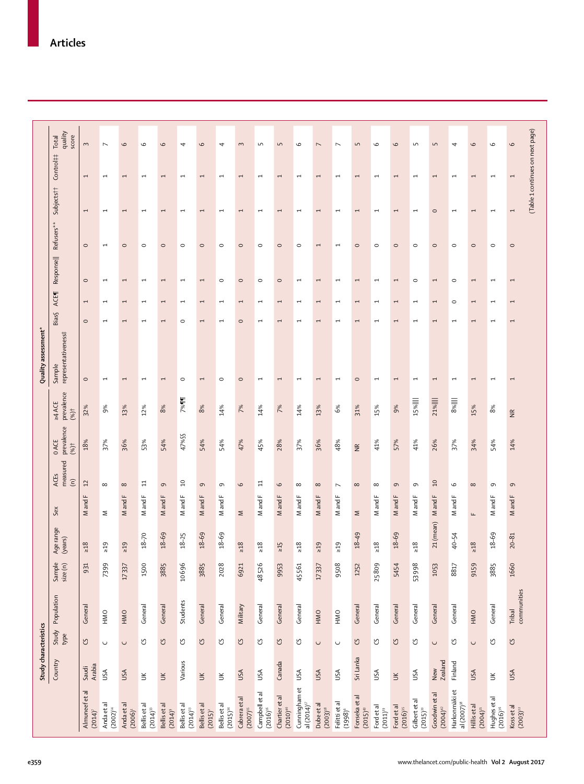|                                       | Study characteristics |               |                       |                   |                      |         |                                          |                                            |                                                     | Quality assessment*            |                          |                          |                          |                          |                                                                            |                          |                           |
|---------------------------------------|-----------------------|---------------|-----------------------|-------------------|----------------------|---------|------------------------------------------|--------------------------------------------|-----------------------------------------------------|--------------------------------|--------------------------|--------------------------|--------------------------|--------------------------|----------------------------------------------------------------------------|--------------------------|---------------------------|
|                                       | Country               | Study<br>type | Population            | Sample<br>size(n) | Age range<br>(years) | Sex     | measured<br>ACEs<br>$\widehat{\epsilon}$ | prevalence<br>0 ACE<br>$(96)$ <sup>+</sup> | prevalence<br>$\simeq$ 4 ACE<br>$(96)$ <sup>+</sup> | representativeness#<br>Sample  | Biass                    | ACET                     | Response                 | Refusers**               | Subjects <sup>††</sup>                                                     | Control#                 | quality<br>Total<br>score |
| Almuneef et al<br>$(2014)^7$          | Arabia<br>Saudi       | S)            | General               | 931               | $\geq 18$            | M and F | $\overline{12}$                          | 18%                                        | 32%                                                 | $\circ$                        | $\circ$                  | $\overline{\phantom{0}}$ | $\circ$                  | $\circ$                  | $\overline{\phantom{0}}$                                                   | $\overline{\phantom{0}}$ | $\sim$                    |
| Andaetal<br>$(2002)^{14}$             | USA                   | $\cup$        | SMH                   | 7399              | $\geq 19$            | Σ       | $\infty$                                 | 37%                                        | 9%                                                  | $\overline{\phantom{0}}$       | $\overline{ }$           | $\overline{\phantom{0}}$ | $\overline{ }$           | $\overline{ }$           | $\overline{ }$                                                             | $\overline{ }$           |                           |
| Andaetal<br>$(2006)^1$                | USA                   | $\cup$        | HMO                   | 17337             | $\geq 19$            | M and F | $\infty$                                 | 36%                                        | 13%                                                 | $\overline{\phantom{0}}$       | 1                        | $\overline{\phantom{0}}$ | $\mathbf{r}$             | $\circ$                  | $\overline{\phantom{0}}$                                                   | $\overline{\phantom{0}}$ | $\circ$                   |
| Bellis et al<br>$(2014)^{33}$         | $\preceq$             | უ             | General               | 1500              | $18 - 70$            | MandF   | 日                                        | 53%                                        | 12%                                                 | Ţ                              | 1                        | $\overline{ }$           | $\mathbf{\mathbf{t}}$    | $\circ$                  | $\overline{ }$                                                             | $\overline{\phantom{a}}$ | $\circ$                   |
| Bellis et al<br>$(2014)^9$            | $\leq$                | S)            | General               | 3885              | $18 - 69$            | M and F | $\sigma$                                 | 54%                                        | $8%$                                                | $\overline{ }$                 | 1                        | 1                        | I                        | $\circ$                  | 1                                                                          | 1                        | $\circ$                   |
| <b>Bellis</b> et al<br>$(2014)^{13}$  | Various               | უ             | Students              | 10696             | $18 - 25$            | M and F | $\overline{c}$                           | 47%§§                                      | 7%¶¶                                                | $\circ$                        | $\circ$                  | $\overline{\phantom{a}}$ | $\overline{ }$           | $\circ$                  | $\mathbf{\overline{u}}$                                                    | $\overline{ }$           | 4                         |
| Bellis et al<br>$(2015)^2$            | $\preceq$             | S             | General               | 3885              | $18 - 69$            | MandF   | $\sigma$                                 | 54%                                        | $8\%$                                               | $\overline{1}$                 | 1                        | $\mathbf{r}$             | $\overline{1}$           | $\circ$                  | $\overline{\phantom{0}}$                                                   | $\overline{\phantom{0}}$ | $\circ$                   |
| Bellis et al<br>$(2015)^{34}$         | $\preceq$             | S)            | General               | 2028              | $18 - 69$            | M and F | $\sigma$                                 | 54%                                        | 14%                                                 | $\circ$                        |                          | $\overline{ }$           | $\circ$                  | $\circ$                  | $\overline{ }$                                                             | $\overline{ }$           | 4                         |
| Cabrera et al<br>$(2007)^{15}$        | USA                   | S)            | Military              | 6921              | $\geq 18$            | Σ       | $\circ$                                  | 47%                                        | 7%                                                  | $\circ$                        | $\circ$                  | $\overline{\phantom{0}}$ | $\circ$                  | $\circ$                  | $\overline{\phantom{0}}$                                                   | $\overline{\phantom{0}}$ | $\sim$                    |
| Campbell et al<br>$(2016)^{16}$       | USA                   | S)            | General               | 48526             | $\geq 18$            | MandF   | 급                                        | 45%                                        | 14%                                                 | $\overline{ }$                 | $\overline{ }$           | $\overline{\phantom{0}}$ | $\circ$                  | $\circ$                  | $\mathbf{\mathbf{\mathbf{\mathbf{\mathbf{\mathbf{\mathbf{\mathbf{+}}}}}}}$ | $\overline{\phantom{0}}$ | $\overline{5}$            |
| Chartier et al<br>$(2010)^{40}$       | Canada                | <b>ვე</b>     | General               | 9953              | $\geq 15$            | MandF   | $\circ$                                  | 28%                                        | 7%                                                  | $\overline{\phantom{0}}$       | 1                        | $\overline{\phantom{0}}$ | $\circ$                  | $\circ$                  | $\overline{\phantom{0}}$                                                   | $\overline{\phantom{0}}$ | $\overline{5}$            |
| Cunningham et<br>al $(2014)^{17}$     | USA                   | S)            | General               | 45561             | $\geq 18$            | M and F | $\infty$                                 | 37%                                        | 14%                                                 | $\overline{\phantom{0}}$       | $\overline{\phantom{0}}$ | $\overline{\phantom{0}}$ | $\overline{\phantom{0}}$ | $\circ$                  | $\overline{\phantom{0}}$                                                   | $\overline{ }$           | $\circ$                   |
| Dube et al<br>$(2003)^{18}$           | USA                   | $\cup$        | HMO                   | 17337             | $\geq 19$            | MandF   | $\infty$                                 | 36%                                        | 13%                                                 | $\overline{\phantom{0}}$       | $\overline{\phantom{0}}$ | $\overline{ }$           | $\overline{\phantom{0}}$ | $\overline{\phantom{0}}$ | $\overline{\phantom{0}}$                                                   | $\overline{\phantom{0}}$ | $\overline{\phantom{a}}$  |
| Felitti et al<br>$(1998)^6$           | USA                   | $\cup$        | HMO                   | 9508              | $\geq 19$            | MandF   | $\overline{\phantom{0}}$                 | 48%                                        | 6%                                                  | $\overline{ }$                 | $\mathbf{\mathbf{t}}$    | $\overline{\phantom{0}}$ | $\overline{ }$           | $\overline{\phantom{0}}$ | $\overline{ }$                                                             | $\overline{ }$           | $\overline{ }$            |
| Fonseka et al<br>(2015) <sup>43</sup> | Sri Lanka             | S)            | General               | 1252              | $18 - 49$            | Σ       | $\infty$                                 | $\widetilde{\Xi}$                          | 31%                                                 | $\circ$                        | $\overline{ }$           | $\overline{\phantom{a}}$ | $\overline{ }$           | $\circ$                  | $\overline{\phantom{0}}$                                                   | $\overline{\phantom{0}}$ | $\overline{5}$            |
| Ford et al<br>$(2011)^{19}$           | USA                   | უ             | General               | 25809             | $\geq 18$            | MandF   | $\infty$                                 | 41%                                        | 15%                                                 | $\overline{ }$                 | $\overline{ }$           | $\overline{ }$           | $\overline{ }$           | $\circ$                  | $\overline{ }$                                                             | $\overline{\phantom{a}}$ | $\circ$                   |
| Ford et al<br>$(2016)^{35}$           | $\preceq$             | S)            | General               | 5454              | $18 - 69$            | M and F | 9                                        | 57%                                        | 9%                                                  | $\overline{\phantom{0}}$       | 1                        | 1                        | 1                        | $\circ$                  | I                                                                          | $\overline{\phantom{0}}$ | $\mathbf \circ$           |
| Gilbert et al<br>$(2015)^{20}$        | USA                   | <b>ვ</b>      | General               | 53998             | $\geq 18$            | MandF   | G                                        | 41%                                        | 15%                                                 | $\overline{\phantom{0}}$       | 1                        | 1                        | $\circ$                  | $\circ$                  | $\overline{ }$                                                             | $\overline{\phantom{a}}$ | 5                         |
| Goodwin et al<br>$(2004)^{42}$        | Zealand<br>New        | $\cup$        | General               | 1053              | $21$ (mean)          | M and F | 10                                       | 26%                                        | 21%                                                 | 1                              | 1                        | 1                        | $\overline{1}$           | $\circ$                  | $\circ$                                                                    | $\overline{\phantom{0}}$ | 5                         |
| Harkonmäki et<br>al $(2007)^{38}$     | Finland               | უ             | General               | 8817              | 40-54                | MandF   | $\circ$                                  | 37%                                        | $8\%$                                               | $\mathbf{\mathbf{\mathsf{H}}}$ |                          | $\circ$                  | $\circ$                  | $\circ$                  | $\overline{\phantom{0}}$                                                   | $\overline{\phantom{0}}$ | 4                         |
| Hillis et al<br>$(2004)^{21}$         | USA                   | $\cup$        | HMO                   | 9159              | $\geq 18$            | Щ       | $\infty$                                 | 34%                                        | 15%                                                 | $\overline{ }$                 | $\overline{ }$           | $\overline{ }$           | $\overline{ }$           | $\circ$                  | $\overline{\phantom{0}}$                                                   | $\overline{\phantom{0}}$ | $\circ$                   |
| Hughes et al<br>$(2016)^{*}$          | $\preceq$             | S)            | General               | 3885              | $18 - 69$            | MandF   | $\sigma$                                 | 54%                                        | $8\%$                                               | $\overline{ }$                 | $\mathbf{\mathbf{t}}$    | Ţ                        | $\mathbf{\mathbf{t}}$    | $\circ$                  | $\overline{\phantom{a}}$                                                   | $\overline{\phantom{0}}$ | $\circ$                   |
| Koss et al<br>$(2003)^{2}$            | USA                   | S)            | communities<br>Tribal | 1660              | $20 - 81$            | M and F | $\sigma$                                 | 14%                                        | $\widetilde{\Xi}$                                   | $\overline{\phantom{0}}$       | 1                        | 1                        | I                        | $\circ$                  | $\overline{1}$                                                             | $\overline{\phantom{0}}$ | $\circ$                   |
|                                       |                       |               |                       |                   |                      |         |                                          |                                            |                                                     |                                |                          |                          |                          |                          | (Table 1 continues on next page)                                           |                          |                           |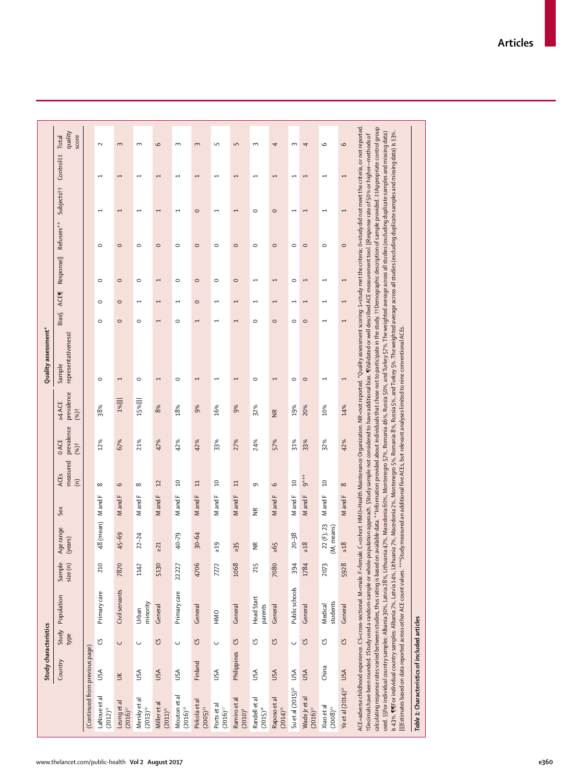| $\circ$<br>$\circ$<br>$\circ$<br>$\overline{\phantom{0}}$<br>$\overline{\phantom{0}}$<br>Ţ<br>$\mathbf{r}$<br>$\overline{\phantom{0}}$<br>1<br>$\overline{\phantom{0}}$<br>Ţ<br>1<br>$\overline{ }$<br>1<br>Refusers**<br>$\circ$<br>$\circ$<br>$\circ$<br>$\circ$<br>$\circ$<br>$\circ$<br>$\circ$<br>$\circ$<br>$\circ$<br>$\circ$<br>$\circ$<br>$\circ$<br>$\circ$<br>$\circ$<br>Response  <br>$\circ$<br>$\circ$<br>$\circ$<br>$\circ$<br>$\circ$<br>$\circ$<br>$\circ$<br>$\circ$<br>$\overline{\phantom{0}}$<br>1<br>$\overline{ }$<br>$\overline{\phantom{0}}$<br>$\overline{ }$<br>I<br>ACET<br>$\circ$<br>$\circ$<br>$\circ$<br>$\overline{\phantom{0}}$<br>$\overline{ }$<br>1<br>I<br>1<br>$\overline{\phantom{0}}$<br>$\overline{ }$<br>1<br>$\overline{\phantom{0}}$<br>1<br>1<br>Biass<br>$\circ$<br>$\circ$<br>$\circ$<br>$\circ$<br>$\circ$<br>$\circ$<br>$\circ$<br>$\circ$<br>1<br>$\mathbf{r}$<br>I<br>1<br>$\mathbf{\mathbf{t}}$<br>1<br>representativeness#<br>Sample<br>$\circ$<br>$\circ$<br>$\circ$<br>$\circ$<br>$\circ$<br>$\circ$<br>$\overline{\phantom{0}}$<br>$\overline{\phantom{0}}$<br>1<br>Ţ<br>1<br>$\overline{\phantom{0}}$<br>1<br>$\mathbf{r}$<br>prevalence<br>$1\%$    <br>15%   <br>$\simeq$ 4 ACE<br>38%<br>$8%$<br>9%<br>32%<br>19%<br>20%<br>10%<br>14%<br>18%<br>9%<br>16%<br>$(96)$ <sup>+</sup><br>$\widetilde{\Xi}$<br>prevalence<br>0 ACE<br>21%<br>47%<br>42%<br>27%<br>24%<br>31%<br>33%<br>32%<br>42%<br>12%<br>67%<br>42%<br>33%<br>57%<br>$(96)$ <sup>+</sup><br>measured<br>ACEs<br>$9***$<br>$\widehat{\epsilon}$<br>$\overline{c}$<br>$\overline{10}$<br>$\overline{10}$<br>$\overline{10}$<br>$\overline{c}$<br>$\Xi$<br>$\Xi$<br>$\circ$<br>$\infty$<br>$\circ$<br>$\infty$<br>$\sigma$<br>$\infty$<br>M and F<br>M and F<br>MandF<br>MandF<br>MandF<br>M and F<br>M and F<br>M and F<br>M and F<br>MandF<br>MandF<br>M and F<br>M and I<br>Sex<br>ž<br>48 (mean)<br>22 (F); 23<br>(M; means)<br>Age range<br>45-69<br>$22 - 24$<br>40-79<br>30-64<br>$20 - 38$<br>(years)<br>$\geq 18$<br>$\widetilde{\Xi}$<br>$\geq 18$<br>$\geq 19$<br>$\geq 35$<br>59 <sup>5</sup><br>$\geq$ 21<br>Sample<br>210<br>7870<br>5130<br>7080<br>5928<br>size(n)<br>1142<br>4706<br>1068<br>215<br>394<br>1784<br>7272<br>2073<br>22227<br>Public schools<br>Civil servants<br>Primary care<br>Primary care<br>Population<br><b>Head Start</b><br>minority<br>students<br>Medical<br>General<br>parents<br>General<br>General<br>General<br>General<br>General<br>Urban<br>SMH<br>Study<br>type<br>უ<br>CS<br>უ<br>S)<br>უ<br>S)<br>S)<br>უ<br>S<br>$\cup$<br>$\cup$<br>$\cup$<br>$\cup$<br>$\cup$<br>(Continued from previous page)<br>Philippines<br>Country<br>Finland<br>China<br>USA<br>USA<br>USA<br>USA<br>USA<br>USA<br>USA<br>USA<br>USA<br>USA<br>$\preceq$<br>Yeetal $(2014)^{32}$<br>Suetal $(2015)^{30}$<br>Mouton et al<br>LaNoue et al<br>Wade Jr et al<br>Raposo et al<br>Mersky et al<br>Randell et al<br>Ramiro et al<br>Pirkola et al<br>Leung et al<br>Miller et al<br>Ports et al<br>Xiao et al<br>$(2016)^{*}$<br>$(2014)^{29}$<br>$(2005)^{39}$<br>$(2016)^{31}$<br>$(2008)^{\scriptscriptstyle 41}$<br>$(2016)^{37}$<br>$(2012)^{23}$<br>$(2013)^{24}$<br>$(2015)^{28}$<br>$(2011)^{25}$<br>$(2016)^{2}$<br>$(2010)^8$ |  |  |  |  |  | Quality assessment* |  |  |                        |                          |                           |
|------------------------------------------------------------------------------------------------------------------------------------------------------------------------------------------------------------------------------------------------------------------------------------------------------------------------------------------------------------------------------------------------------------------------------------------------------------------------------------------------------------------------------------------------------------------------------------------------------------------------------------------------------------------------------------------------------------------------------------------------------------------------------------------------------------------------------------------------------------------------------------------------------------------------------------------------------------------------------------------------------------------------------------------------------------------------------------------------------------------------------------------------------------------------------------------------------------------------------------------------------------------------------------------------------------------------------------------------------------------------------------------------------------------------------------------------------------------------------------------------------------------------------------------------------------------------------------------------------------------------------------------------------------------------------------------------------------------------------------------------------------------------------------------------------------------------------------------------------------------------------------------------------------------------------------------------------------------------------------------------------------------------------------------------------------------------------------------------------------------------------------------------------------------------------------------------------------------------------------------------------------------------------------------------------------------------------------------------------------------------------------------------------------------------------------------------------------------------------------------------------------------------------------------------------------------------------------------------------------------------------------------------------------------------------------------------------------------------------------------------------------------------------------------------------------------------------------------------------------------------------------------------------------------------------------------------------------------------------------------------------------------------------------------------------------------------------------------------------------------------------------------------------------------------------------------------------------------------------------------------------------------------------------------|--|--|--|--|--|---------------------|--|--|------------------------|--------------------------|---------------------------|
|                                                                                                                                                                                                                                                                                                                                                                                                                                                                                                                                                                                                                                                                                                                                                                                                                                                                                                                                                                                                                                                                                                                                                                                                                                                                                                                                                                                                                                                                                                                                                                                                                                                                                                                                                                                                                                                                                                                                                                                                                                                                                                                                                                                                                                                                                                                                                                                                                                                                                                                                                                                                                                                                                                                                                                                                                                                                                                                                                                                                                                                                                                                                                                                                                                                                                          |  |  |  |  |  |                     |  |  | Subjects <sup>††</sup> | Control##                | quality<br>score<br>Total |
|                                                                                                                                                                                                                                                                                                                                                                                                                                                                                                                                                                                                                                                                                                                                                                                                                                                                                                                                                                                                                                                                                                                                                                                                                                                                                                                                                                                                                                                                                                                                                                                                                                                                                                                                                                                                                                                                                                                                                                                                                                                                                                                                                                                                                                                                                                                                                                                                                                                                                                                                                                                                                                                                                                                                                                                                                                                                                                                                                                                                                                                                                                                                                                                                                                                                                          |  |  |  |  |  |                     |  |  |                        |                          |                           |
|                                                                                                                                                                                                                                                                                                                                                                                                                                                                                                                                                                                                                                                                                                                                                                                                                                                                                                                                                                                                                                                                                                                                                                                                                                                                                                                                                                                                                                                                                                                                                                                                                                                                                                                                                                                                                                                                                                                                                                                                                                                                                                                                                                                                                                                                                                                                                                                                                                                                                                                                                                                                                                                                                                                                                                                                                                                                                                                                                                                                                                                                                                                                                                                                                                                                                          |  |  |  |  |  |                     |  |  |                        | $\overline{\phantom{0}}$ | $\sim$                    |
|                                                                                                                                                                                                                                                                                                                                                                                                                                                                                                                                                                                                                                                                                                                                                                                                                                                                                                                                                                                                                                                                                                                                                                                                                                                                                                                                                                                                                                                                                                                                                                                                                                                                                                                                                                                                                                                                                                                                                                                                                                                                                                                                                                                                                                                                                                                                                                                                                                                                                                                                                                                                                                                                                                                                                                                                                                                                                                                                                                                                                                                                                                                                                                                                                                                                                          |  |  |  |  |  |                     |  |  |                        | $\overline{\phantom{a}}$ | $\sim$                    |
|                                                                                                                                                                                                                                                                                                                                                                                                                                                                                                                                                                                                                                                                                                                                                                                                                                                                                                                                                                                                                                                                                                                                                                                                                                                                                                                                                                                                                                                                                                                                                                                                                                                                                                                                                                                                                                                                                                                                                                                                                                                                                                                                                                                                                                                                                                                                                                                                                                                                                                                                                                                                                                                                                                                                                                                                                                                                                                                                                                                                                                                                                                                                                                                                                                                                                          |  |  |  |  |  |                     |  |  |                        | $\overline{\phantom{0}}$ | $\sim$                    |
|                                                                                                                                                                                                                                                                                                                                                                                                                                                                                                                                                                                                                                                                                                                                                                                                                                                                                                                                                                                                                                                                                                                                                                                                                                                                                                                                                                                                                                                                                                                                                                                                                                                                                                                                                                                                                                                                                                                                                                                                                                                                                                                                                                                                                                                                                                                                                                                                                                                                                                                                                                                                                                                                                                                                                                                                                                                                                                                                                                                                                                                                                                                                                                                                                                                                                          |  |  |  |  |  |                     |  |  |                        | 1                        | $\circ$                   |
|                                                                                                                                                                                                                                                                                                                                                                                                                                                                                                                                                                                                                                                                                                                                                                                                                                                                                                                                                                                                                                                                                                                                                                                                                                                                                                                                                                                                                                                                                                                                                                                                                                                                                                                                                                                                                                                                                                                                                                                                                                                                                                                                                                                                                                                                                                                                                                                                                                                                                                                                                                                                                                                                                                                                                                                                                                                                                                                                                                                                                                                                                                                                                                                                                                                                                          |  |  |  |  |  |                     |  |  |                        | $\overline{\phantom{0}}$ | 3                         |
|                                                                                                                                                                                                                                                                                                                                                                                                                                                                                                                                                                                                                                                                                                                                                                                                                                                                                                                                                                                                                                                                                                                                                                                                                                                                                                                                                                                                                                                                                                                                                                                                                                                                                                                                                                                                                                                                                                                                                                                                                                                                                                                                                                                                                                                                                                                                                                                                                                                                                                                                                                                                                                                                                                                                                                                                                                                                                                                                                                                                                                                                                                                                                                                                                                                                                          |  |  |  |  |  |                     |  |  |                        | $\overline{\phantom{a}}$ | $\sim$                    |
|                                                                                                                                                                                                                                                                                                                                                                                                                                                                                                                                                                                                                                                                                                                                                                                                                                                                                                                                                                                                                                                                                                                                                                                                                                                                                                                                                                                                                                                                                                                                                                                                                                                                                                                                                                                                                                                                                                                                                                                                                                                                                                                                                                                                                                                                                                                                                                                                                                                                                                                                                                                                                                                                                                                                                                                                                                                                                                                                                                                                                                                                                                                                                                                                                                                                                          |  |  |  |  |  |                     |  |  |                        | $\overline{ }$           | S                         |
|                                                                                                                                                                                                                                                                                                                                                                                                                                                                                                                                                                                                                                                                                                                                                                                                                                                                                                                                                                                                                                                                                                                                                                                                                                                                                                                                                                                                                                                                                                                                                                                                                                                                                                                                                                                                                                                                                                                                                                                                                                                                                                                                                                                                                                                                                                                                                                                                                                                                                                                                                                                                                                                                                                                                                                                                                                                                                                                                                                                                                                                                                                                                                                                                                                                                                          |  |  |  |  |  |                     |  |  |                        | 1                        | 5                         |
|                                                                                                                                                                                                                                                                                                                                                                                                                                                                                                                                                                                                                                                                                                                                                                                                                                                                                                                                                                                                                                                                                                                                                                                                                                                                                                                                                                                                                                                                                                                                                                                                                                                                                                                                                                                                                                                                                                                                                                                                                                                                                                                                                                                                                                                                                                                                                                                                                                                                                                                                                                                                                                                                                                                                                                                                                                                                                                                                                                                                                                                                                                                                                                                                                                                                                          |  |  |  |  |  |                     |  |  |                        | $\overline{\phantom{0}}$ | $\sim$                    |
|                                                                                                                                                                                                                                                                                                                                                                                                                                                                                                                                                                                                                                                                                                                                                                                                                                                                                                                                                                                                                                                                                                                                                                                                                                                                                                                                                                                                                                                                                                                                                                                                                                                                                                                                                                                                                                                                                                                                                                                                                                                                                                                                                                                                                                                                                                                                                                                                                                                                                                                                                                                                                                                                                                                                                                                                                                                                                                                                                                                                                                                                                                                                                                                                                                                                                          |  |  |  |  |  |                     |  |  |                        | $\overline{\phantom{0}}$ | 4                         |
|                                                                                                                                                                                                                                                                                                                                                                                                                                                                                                                                                                                                                                                                                                                                                                                                                                                                                                                                                                                                                                                                                                                                                                                                                                                                                                                                                                                                                                                                                                                                                                                                                                                                                                                                                                                                                                                                                                                                                                                                                                                                                                                                                                                                                                                                                                                                                                                                                                                                                                                                                                                                                                                                                                                                                                                                                                                                                                                                                                                                                                                                                                                                                                                                                                                                                          |  |  |  |  |  |                     |  |  |                        | $\overline{\phantom{0}}$ | $\sim$                    |
|                                                                                                                                                                                                                                                                                                                                                                                                                                                                                                                                                                                                                                                                                                                                                                                                                                                                                                                                                                                                                                                                                                                                                                                                                                                                                                                                                                                                                                                                                                                                                                                                                                                                                                                                                                                                                                                                                                                                                                                                                                                                                                                                                                                                                                                                                                                                                                                                                                                                                                                                                                                                                                                                                                                                                                                                                                                                                                                                                                                                                                                                                                                                                                                                                                                                                          |  |  |  |  |  |                     |  |  |                        | $\overline{\phantom{0}}$ | 4                         |
|                                                                                                                                                                                                                                                                                                                                                                                                                                                                                                                                                                                                                                                                                                                                                                                                                                                                                                                                                                                                                                                                                                                                                                                                                                                                                                                                                                                                                                                                                                                                                                                                                                                                                                                                                                                                                                                                                                                                                                                                                                                                                                                                                                                                                                                                                                                                                                                                                                                                                                                                                                                                                                                                                                                                                                                                                                                                                                                                                                                                                                                                                                                                                                                                                                                                                          |  |  |  |  |  |                     |  |  |                        | $\overline{ }$           | $\circ$                   |
|                                                                                                                                                                                                                                                                                                                                                                                                                                                                                                                                                                                                                                                                                                                                                                                                                                                                                                                                                                                                                                                                                                                                                                                                                                                                                                                                                                                                                                                                                                                                                                                                                                                                                                                                                                                                                                                                                                                                                                                                                                                                                                                                                                                                                                                                                                                                                                                                                                                                                                                                                                                                                                                                                                                                                                                                                                                                                                                                                                                                                                                                                                                                                                                                                                                                                          |  |  |  |  |  |                     |  |  |                        | 1                        | $\circ$                   |
| ACE=adverse childhood experience. C5=cross-sectional. M=male. F=female. C=cohort. HMO=Health Maintenance Organization. NR=not reported. "Quality asessment scoring: 1=study met the criteria, 0=study did not meet the criteri<br>available data. * Information provided about individuals that chose not to participate in the study. † Demographic description of sample provided. ##Appropriate control group<br>used. SFor individual country samples: Albania 30%, Latvia 28%, Lithuania 47%, Macedonia 60%, Montenegro 57%, Romania 46%, Russia 50%, and Turkey 57%. The weighted average across all studies (excluding duplicate samples an<br>is 43%. ¶TFor individual country samples: Albania 7%, Latvia 14%, Lithuania 7%, Macedonia 2%, Montenegro 5%, Romania 8%, Russia 5%, and Turkey 5%. The weighted average across all studies (excluding duplicate samples and mi<br>t Decimals have been rounded. 15tudy used a random-sample or whole-population approach. SStudy sample not considered to have additional bias. Walidated or well described ACE measurement tool. [Response rate of 50% or highe<br>$\parallel$ [Estimates based on data reported across other ACE count values. ***Study measured an additional five ACEs, but relevant analyses limited to nine conventional ACEs.<br>calculating response rates varied between studies, thus rating is based on                                                                                                                                                                                                                                                                                                                                                                                                                                                                                                                                                                                                                                                                                                                                                                                                                                                                                                                                                                                                                                                                                                                                                                                                                                                                                                                                                                                                                                                                                                                                                                                                                                                                                                                                                                                                                                                                                                 |  |  |  |  |  |                     |  |  |                        |                          |                           |
| Table 1: Characteristics of included articles                                                                                                                                                                                                                                                                                                                                                                                                                                                                                                                                                                                                                                                                                                                                                                                                                                                                                                                                                                                                                                                                                                                                                                                                                                                                                                                                                                                                                                                                                                                                                                                                                                                                                                                                                                                                                                                                                                                                                                                                                                                                                                                                                                                                                                                                                                                                                                                                                                                                                                                                                                                                                                                                                                                                                                                                                                                                                                                                                                                                                                                                                                                                                                                                                                            |  |  |  |  |  |                     |  |  |                        |                          |                           |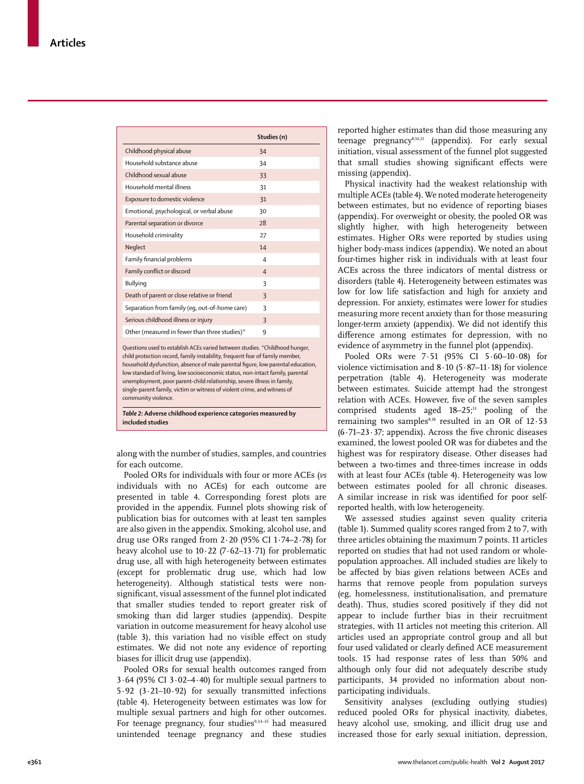|                                                                                                                                                                                                                                                                                                                                                                                                                                                                                                               | Studies (n)    |
|---------------------------------------------------------------------------------------------------------------------------------------------------------------------------------------------------------------------------------------------------------------------------------------------------------------------------------------------------------------------------------------------------------------------------------------------------------------------------------------------------------------|----------------|
| Childhood physical abuse                                                                                                                                                                                                                                                                                                                                                                                                                                                                                      | 34             |
| Household substance abuse                                                                                                                                                                                                                                                                                                                                                                                                                                                                                     | 34             |
| Childhood sexual abuse                                                                                                                                                                                                                                                                                                                                                                                                                                                                                        | 33             |
| Household mental illness                                                                                                                                                                                                                                                                                                                                                                                                                                                                                      | 31             |
| Exposure to domestic violence                                                                                                                                                                                                                                                                                                                                                                                                                                                                                 | 31             |
| Emotional, psychological, or verbal abuse                                                                                                                                                                                                                                                                                                                                                                                                                                                                     | 30             |
| Parental separation or divorce                                                                                                                                                                                                                                                                                                                                                                                                                                                                                | 28             |
| Household criminality                                                                                                                                                                                                                                                                                                                                                                                                                                                                                         | 27             |
| Neglect                                                                                                                                                                                                                                                                                                                                                                                                                                                                                                       | 14             |
| Family financial problems                                                                                                                                                                                                                                                                                                                                                                                                                                                                                     | $\overline{4}$ |
| Family conflict or discord                                                                                                                                                                                                                                                                                                                                                                                                                                                                                    | $\overline{4}$ |
| <b>Bullying</b>                                                                                                                                                                                                                                                                                                                                                                                                                                                                                               | 3              |
| Death of parent or close relative or friend                                                                                                                                                                                                                                                                                                                                                                                                                                                                   | $\overline{3}$ |
| Separation from family (eq, out-of-home care)                                                                                                                                                                                                                                                                                                                                                                                                                                                                 | 3              |
| Serious childhood illness or injury                                                                                                                                                                                                                                                                                                                                                                                                                                                                           | $\overline{3}$ |
| Other (measured in fewer than three studies)*                                                                                                                                                                                                                                                                                                                                                                                                                                                                 | $\mathsf{q}$   |
| Ouestions used to establish ACEs varied between studies. *Childhood hunger,<br>child protection record, family instability, frequent fear of family member,<br>household dysfunction, absence of male parental figure, low parental education,<br>low standard of living, low socioeconomic status, non-intact family, parental<br>unemployment, poor parent-child relationship, severe illness in family,<br>single-parent family, victim or witness of violent crime, and witness of<br>community violence. |                |

*Table 2:* **Adverse childhood experience categories measured by included studies**

along with the number of studies, samples, and countries for each outcome.

Pooled ORs for individuals with four or more ACEs (*vs* individuals with no ACEs) for each outcome are presented in table 4. Corresponding forest plots are provided in the appendix. Funnel plots showing risk of publication bias for outcomes with at least ten samples are also given in the appendix. Smoking, alcohol use, and drug use ORs ranged from  $2.20$  (95% CI  $1.74-2.78$ ) for heavy alcohol use to  $10.22$  (7.62–13.71) for problematic drug use, all with high heterogeneity between estimates (except for problematic drug use, which had low heterogeneity). Although statistical tests were nonsignificant, visual assessment of the funnel plot indicated that smaller studies tended to report greater risk of smoking than did larger studies (appendix). Despite variation in outcome measurement for heavy alcohol use (table 3), this variation had no visible effect on study estimates. We did not note any evidence of reporting biases for illicit drug use (appendix).

Pooled ORs for sexual health outcomes ranged from 3·64 (95% CI 3·02–4·40) for multiple sexual partners to 5·92 (3·21–10·92) for sexually transmitted infections (table 4). Heterogeneity between estimates was low for multiple sexual partners and high for other outcomes. For teenage pregnancy, four studies<sup>9,33-35</sup> had measured unintended teenage pregnancy and these studies reported higher estimates than did those measuring any teenage pregnancy $s<sub>14,21</sub>$  (appendix). For early sexual initiation, visual assessment of the funnel plot suggested that small studies showing significant effects were missing (appendix).

Physical inactivity had the weakest relationship with multiple ACEs (table 4). We noted moderate heterogeneity between estimates, but no evidence of reporting biases (appendix). For overweight or obesity, the pooled OR was slightly higher, with high heterogeneity between estimates. Higher ORs were reported by studies using higher body-mass indices (appendix). We noted an about four-times higher risk in individuals with at least four ACEs across the three indicators of mental distress or disorders (table 4). Heterogeneity between estimates was low for low life satisfaction and high for anxiety and depression. For anxiety, estimates were lower for studies measuring more recent anxiety than for those measuring longer-term anxiety (appendix). We did not identify this difference among estimates for depression, with no evidence of asymmetry in the funnel plot (appendix).

Pooled ORs were 7·51 (95% CI 5·60–10·08) for violence victimisation and 8·10 (5·87–11·18) for violence perpetration (table 4). Heterogeneity was moderate between estimates. Suicide attempt had the strongest relation with ACEs. However, five of the seven samples comprised students aged 18-25;<sup>13</sup> pooling of the remaining two samples<sup>8,18</sup> resulted in an OR of  $12.53$ (6·71–23·37; appendix). Across the five chronic diseases examined, the lowest pooled OR was for diabetes and the highest was for respiratory disease. Other diseases had between a two-times and three-times increase in odds with at least four ACEs (table 4). Heterogeneity was low between estimates pooled for all chronic diseases. A similar increase in risk was identified for poor selfreported health, with low heterogeneity.

We assessed studies against seven quality criteria (table 1). Summed quality scores ranged from 2 to 7, with three articles obtaining the maximum 7 points. 11 articles reported on studies that had not used random or wholepopulation approaches. All included studies are likely to be affected by bias given relations between ACEs and harms that remove people from population surveys (eg, homelessness, institutionalisation, and premature death). Thus, studies scored positively if they did not appear to include further bias in their recruitment strategies, with 11 articles not meeting this criterion. All articles used an appropriate control group and all but four used validated or clearly defined ACE measurement tools. 15 had response rates of less than 50% and although only four did not adequately describe study participants, 34 provided no information about nonparticipating individuals.

Sensitivity analyses (excluding outlying studies) reduced pooled ORs for physical inactivity, diabetes, heavy alcohol use, smoking, and illicit drug use and increased those for early sexual initiation, depression,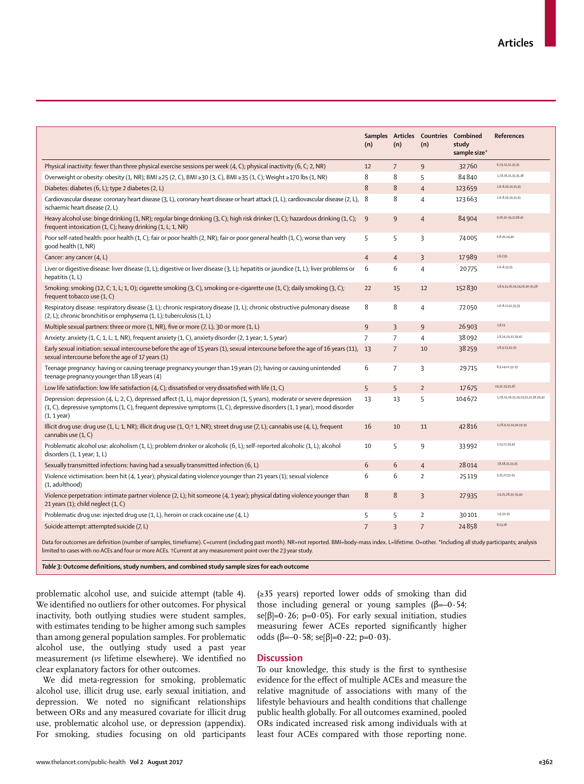|                                                                                                                                                                                                                                                                         | (n)            | (n)            | Samples Articles Countries Combined<br>(n) | study<br>sample size* | <b>References</b>                   |
|-------------------------------------------------------------------------------------------------------------------------------------------------------------------------------------------------------------------------------------------------------------------------|----------------|----------------|--------------------------------------------|-----------------------|-------------------------------------|
| Physical inactivity: fewer than three physical exercise sessions per week $(4, C)$ ; physical inactivity $(6, C; 2, NR)$                                                                                                                                                | 12             | $\overline{7}$ | 9                                          | 32760                 | 6,7,9,13,32,33,35                   |
| Overweight or obesity: obesity (1, NR); BMI $\geq$ 25 (2, C), BMI $\geq$ 30 (3, C), BMI $\geq$ 35 (1, C); Weight $\geq$ 170 lbs (1, NR)                                                                                                                                 | 8              | 8              | 5                                          | 84840                 | 1,7,8,16,31,33,35,38                |
| Diabetes: diabetes (6, L); type 2 diabetes (2, L)                                                                                                                                                                                                                       | 8              | 8              | $\overline{4}$                             | 123659                | 2,6-8,16,20,31,35                   |
| Cardiovascular disease: coronary heart disease (3, L), coronary heart disease or heart attack (1, L); cardiovascular disease (2, L),<br>ischaemic heart disease (2, L)                                                                                                  | 8              | 8              | $\overline{4}$                             | 123663                | 2,6-8,16,20,31,35                   |
| Heavy alcohol use: binge drinking (1, NR); reqular binge drinking (3, C); high risk drinker (1, C); hazardous drinking (1, C);<br>frequent intoxication (1, C); heavy drinking (1, L; 1, NR)                                                                            | 9              | $\overline{9}$ | $\overline{4}$                             | 84904                 | 9,16,32-35,37,38,41                 |
| Poor self-rated health: poor health (1, C); fair or poor health (2, NR); fair or poor general health (1, C); worse than very<br>qood health (1, NR)                                                                                                                     | 5              | 5              | 3                                          | 74005                 | 6,8,20,24,40                        |
| Cancer: any cancer (4, L)                                                                                                                                                                                                                                               | $\overline{4}$ | $\overline{4}$ | $\overline{3}$                             | 17989                 | 2,6,7,35                            |
| Liver or digestive disease: liver disease (1, L); digestive or liver disease (3, L); hepatitis or jaundice (1, L); liver problems or<br>hepatitis (1, L)                                                                                                                | 6              | 6              | $\overline{4}$                             | 20775                 | 2,6-8,33,35                         |
| Smoking: smoking $(12, C; 1, L; 1, 0)$ ; cigarette smoking $(3, C)$ , smoking or e-cigarette use $(1, C)$ ; daily smoking $(3, C)$ ;<br>frequent tobacco use (1, C)                                                                                                     | 22             | 15             | 12                                         | 152830                | 1,8,9,13,16,19,24,26,30-35,38       |
| Respiratory disease: respiratory disease (3, L); chronic respiratory disease (1, L); chronic obstructive pulmonary disease<br>(2, L); chronic bronchitis or emphysema (1, L); tuberculosis (1, L)                                                                       | 8              | $\,8\,$        | $\overline{4}$                             | 72050                 | 2,6-8,17,32,33,35                   |
| Multiple sexual partners: three or more (1, NR), five or more (7, L), 30 or more (1, L)                                                                                                                                                                                 | 9              | 3              | 9                                          | 26903                 | 1, 8, 13                            |
| Anxiety: anxiety (1, C; 1, L; 1, NR), frequent anxiety (1, C), anxiety disorder (2, 1 year; 1, 5 year)                                                                                                                                                                  | $\overline{7}$ | $\overline{7}$ | $\overline{4}$                             | 38092                 | 1,8,24,29,32,39,42                  |
| Early sexual initiation: sexual intercourse before the age of 15 years (1), sexual intercourse before the age of 16 years (11),<br>sexual intercourse before the age of 17 years (1)                                                                                    | - 13           | $\overline{7}$ | 10                                         | 38259                 | 1,8,9,13,33-35                      |
| Teenage pregnancy: having or causing teenage pregnancy younger than 19 years (2); having or causing unintended<br>teenage pregnancy younger than 18 years (4)                                                                                                           | 6              | $\overline{7}$ | 3                                          | 29715                 | 8,9,14,21,33-35                     |
| Low life satisfaction: low life satisfaction (4, C); dissatisfied or very dissatisfied with life (1, C)                                                                                                                                                                 | 5              | 5              | $\overline{2}$                             | 17675                 | 24, 32, 33, 35, 36                  |
| Depression: depression (4, L; 2, C), depressed affect (1, L), major depression (1, 5 years), moderate or severe depression<br>(1, C), depressive symptoms (1, C), frequent depressive symptoms (1, C), depressive disorders (1, 1 year), mood disorder<br>$(1, 1$ year) | 13             | 13             | 5                                          | 104672                | 1,7,8,15,16,23,24,29,31,32,38,39,42 |
| Illicit drug use: drug use (1, L; 1, NR); illicit drug use (1, O; † 1, NR); street drug use (7, L); cannabis use (4, L), frequent<br>cannabis use (1, C)                                                                                                                | 16             | 10             | 11                                         | 42816                 | 1,7,8,9,13,24,30,33-35              |
| Problematic alcohol use: alcoholism (1, L); problem drinker or alcoholic (6, L); self-reported alcoholic (1, L); alcohol<br>disorders (1, 1 year; 1, L)                                                                                                                 | 10             | 5              | $\overline{9}$                             | 33992                 | 1,13,22,39,41                       |
| Sexually transmitted infections: having had a sexually transmitted infection (6, L)                                                                                                                                                                                     | 6              | 6              | $\overline{4}$                             | 28014                 | 7,8,18,31,33,35                     |
| Violence victimisation: been hit (4, 1 year); physical dating violence younger than 21 years (1); sexual violence<br>(1, adulthood)                                                                                                                                     | 6              | 6              | $\overline{2}$                             | 25119                 | 9,25,27,33-35                       |
| Violence perpetration: intimate partner violence (2, L); hit someone (4, 1 year); physical dating violence younger than<br>21 years $(1)$ ; child neglect $(1, C)$                                                                                                      | 8              | 8              | $\overline{3}$                             | 27935                 | 1,9,25,28,33-35,43                  |
| Problematic drug use: injected drug use (1, L), heroin or crack cocaine use (4, L)                                                                                                                                                                                      | 5              | 5              | $\overline{2}$                             | 30101                 | 1,9,33-35                           |
| Suicide attempt: attempted suicide (7, L)                                                                                                                                                                                                                               | $\overline{7}$ | $\overline{3}$ | $\overline{7}$                             | 24858                 | 8,13,18                             |
| Data for outcomes are definition (number of samples, timeframe). C=current (including past month). NR=not reported. BMI=body-mass index. L=lifetime. O=other. *Including all study participants; analysis                                                               |                |                |                                            |                       |                                     |

limited to cases with no ACEs and four or more ACEs. †Current at any measurement point over the 23 year study.

*Table 3:* **Outcome definitions, study numbers, and combined study sample sizes for each outcome**

problematic alcohol use, and suicide attempt (table 4). We identified no outliers for other outcomes. For physical inactivity, both outlying studies were student samples, with estimates tending to be higher among such samples than among general population samples. For problematic alcohol use, the outlying study used a past year measurement (*vs* lifetime elsewhere). We identified no clear explanatory factors for other outcomes.

We did meta-regression for smoking, problematic alcohol use, illicit drug use, early sexual initiation, and depression. We noted no significant relationships between ORs and any measured covariate for illicit drug use, problematic alcohol use, or depression (appendix). For smoking, studies focusing on old participants (≥35 years) reported lower odds of smoking than did those including general or young samples  $(β=-0.54;$ se[ $\beta$ ]=0·26; p=0·05). For early sexual initiation, studies measuring fewer ACEs reported significantly higher odds (β=–0·58; se[β]=0·22; p=0·03).

## **Discussion**

To our knowledge, this study is the first to synthesise evidence for the effect of multiple ACEs and measure the relative magnitude of associations with many of the lifestyle behaviours and health conditions that challenge public health globally. For all outcomes examined, pooled ORs indicated increased risk among individuals with at least four ACEs compared with those reporting none.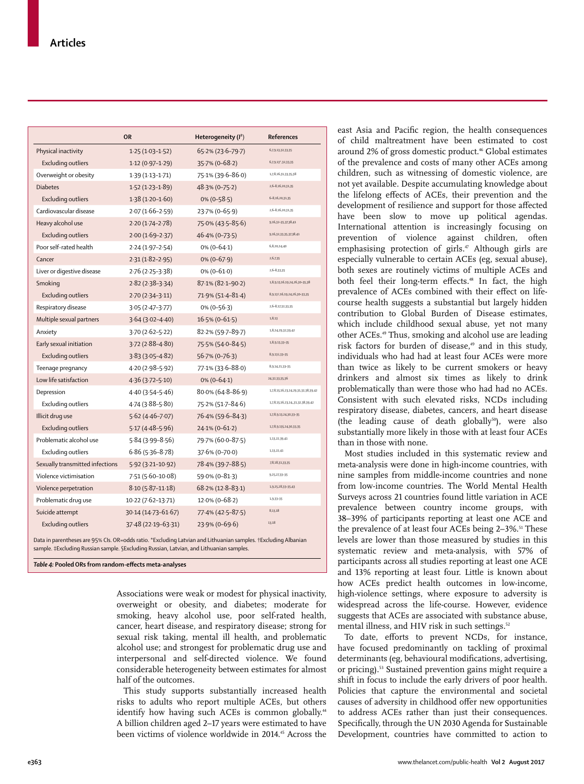|                                 | <b>OR</b>              | Heterogeneity $(I^2)$  | <b>References</b>                   |
|---------------------------------|------------------------|------------------------|-------------------------------------|
| Physical inactivity             | $1.25(1.03 - 1.52)$    | $65.2\%$ (23.6-79.7)   | 6,7,9,13,32,33,35                   |
| <b>Excluding outliers</b>       | $1.12(0.97-1.29)$      | $35.7\%$ (0-68.2)      | 6,7,9,13*,32,33,35                  |
| Overweight or obesity           | $1.39(1.13 - 1.71)$    | 75.1% (39.6-86.0)      | 1,7,8,16,31,33,35,38                |
| <b>Diabetes</b>                 | $1.52(1.23 - 1.89)$    | $48.3\%$ (0-75.2)      | 2,6-8,16,20,31,35                   |
| <b>Excluding outliers</b>       | $1.38(1.20 - 1.60)$    | $0\%$ (0-58.5)         | 6-8,16,20,31,35                     |
| Cardiovascular disease          | $2.07(1.66 - 2.59)$    | 23.7% (0-65.9)         | 2,6-8,16,20,31,35                   |
| Heavy alcohol use               | $2.20(1.74-2.78)$      | 75.0% (43.5-85.6)      | 9,16,32-35,37,38,41                 |
| Excluding outliers              | $2.00(1.69-2.37)$      | $46.4\% (0 - 73.5)$    | 9,16,32,33,35,37,38,41              |
| Poor self-rated health          | $2.24(1.97-2.54)$      | $0\% (0-64-1)$         | 6,8,20,24,40                        |
| Cancer                          | $2.31(1.82 - 2.95)$    | $0\% (0-67.9)$         | 2,6,7,35                            |
| Liver or digestive disease      | $2.76(2.25-3.38)$      | $0\% (0 - 61.0)$       | 2,6-8,33,35                         |
| Smoking                         | $2.82(2.38-3.34)$      | 87.1% (82.1-90.2)      | 1,8,9,13,16,19,24,26,30-35,38       |
| <b>Excluding outliers</b>       | $2.70(2.34-3.11)$      | 71.9% (51.4-81.4)      | 8,9,131,16,19,24,26,30-33,35        |
| Respiratory disease             | $3.05(2.47 - 3.77)$    | $0\%$ (0-56.3)         | 2,6-8,17,32,33,35                   |
| Multiple sexual partners        | $3.64(3.02 - 4.40)$    | $16.5\% (0-61.5)$      | 1,8,13                              |
| Anxiety                         | $3.70(2.62 - 5.22)$    | 82-2% (59-7-89-7)      | 1,8,24,29,32,39,42                  |
| Early sexual initiation         | $3.72(2.88 - 4.80)$    | 75.5% (54.0-84.5)      | 1,8,9,13,33-35                      |
| Excluding outliers              | $3.83(3.05 - 4.82)$    | $56.7\% (0 - 76.3)$    | 8,9,13#,33-35                       |
| Teenage pregnancy               | 4.20 (2.98-5.92)       | 77.1% (33.6-88.0)      | 8,9,14,21,33-35                     |
| Low life satisfaction           | $4.36(3.72 - 5.10)$    | $0\%$ (0-64 $\cdot$ 1) | 24,32,33,35.36                      |
| Depression                      | 4.40 (3.54-5.46)       | 80.0% (64.8-86.9)      | 1,7,8,15,16,23,24,29,31,32,38,39,42 |
| Excluding outliers              | 4.74 (3.88–5.80)       | 75.2% (51.7-84.6)      | 1,7,8,15,16,23,24,,31,32,38,39,42   |
| Illicit drug use                | $5.62(4.46 - 7.07)$    | 76.4% (59.6-84.3)      | 1,7,8,9,13,24,30,33-35              |
| <b>Excluding outliers</b>       | $5.17(4.48-5.96)$      | $24.1\% (0-61.2)$      | 1,7,8,9,135,24,30,33,35             |
| Problematic alcohol use         | $5.84(3.99 - 8.56)$    | 79.7% (60.0-87.5)      | 1,13,22,39,41                       |
| Excluding outliers              | $6.86(5.36-8.78)$      | $37.6\%$ (0-70.0)      | 1,13,22,41                          |
| Sexually transmitted infections | $5.92(3.21 - 10.92)$   | 78.4% (39.7-88.5)      | 7,8,18,31,33.35                     |
| Violence victimisation          | $7.51(5.60 - 10.08)$   | 59.0% (0-81.3)         | 9,25,27,33-35                       |
| Violence perpetration           | $8.10(5.87 - 11.18)$   | $68.2\%$ (12.8-83.1)   | 1,9,25,28,33-35,43                  |
| Problematic drug use            | 10.22 (7.62-13.71)     | $12.0\% (0-68.2)$      | 1.9.33-35                           |
| Suicide attempt                 | $30.14(14.73 - 61.67)$ | $77.4\%$ (42.5-87.5)   | 8,13,18                             |
| <b>Excluding outliers</b>       | 37.48 (22.19-63.31)    | $23.9\%$ (0-69.6)      | 13,18                               |

Data in parentheses are 95% CIs. OR=odds ratio. \*Excluding Latvian and Lithuanian samples. †Excluding Albanian sample. ‡Excluding Russian sample. §Excluding Russian, Latvian, and Lithuanian samples.

*Table 4:* **Pooled ORs from random-effects meta-analyses**

Associations were weak or modest for physical inactivity, overweight or obesity, and diabetes; moderate for smoking, heavy alcohol use, poor self-rated health, cancer, heart disease, and respiratory disease; strong for sexual risk taking, mental ill health, and problematic alcohol use; and strongest for problematic drug use and interpersonal and self-directed violence. We found considerable heterogeneity between estimates for almost half of the outcomes.

This study supports substantially increased health risks to adults who report multiple ACEs, but others identify how having such ACEs is common globally.<sup>44</sup> A billion children aged 2–17 years were estimated to have been victims of violence worldwide in 2014.<sup>45</sup> Across the east Asia and Pacific region, the health consequences of child maltreatment have been estimated to cost around 2% of gross domestic product.<sup>46</sup> Global estimates of the prevalence and costs of many other ACEs among children, such as witnessing of domestic violence, are not yet available. Despite accumulating knowledge about the lifelong effects of ACEs, their prevention and the development of resilience and support for those affected have been slow to move up political agendas. International attention is increasingly focusing on prevention of violence against children, often emphasising protection of girls. $47$  Although girls are especially vulnerable to certain ACEs (eg, sexual abuse), both sexes are routinely victims of multiple ACEs and both feel their long-term effects.<sup>48</sup> In fact, the high prevalence of ACEs combined with their effect on lifecourse health suggests a substantial but largely hidden contribution to Global Burden of Disease estimates, which include childhood sexual abuse, yet not many other ACEs.<sup>49</sup> Thus, smoking and alcohol use are leading risk factors for burden of disease,<sup>49</sup> and in this study, individuals who had had at least four ACEs were more than twice as likely to be current smokers or heavy drinkers and almost six times as likely to drink problematically than were those who had had no ACEs. Consistent with such elevated risks, NCDs including respiratory disease, diabetes, cancers, and heart disease (the leading cause of death globally $50$ ), were also substantially more likely in those with at least four ACEs than in those with none.

Most studies included in this systematic review and meta-analysis were done in high-income countries, with nine samples from middle-income countries and none from low-income countries. The World Mental Health Surveys across 21 countries found little variation in ACE prevalence between country income groups, with 38–39% of participants reporting at least one ACE and the prevalence of at least four ACEs being 2-3%.<sup>51</sup> These levels are lower than those measured by studies in this systematic review and meta-analysis, with 57% of participants across all studies reporting at least one ACE and 13% reporting at least four. Little is known about how ACEs predict health outcomes in low-income, high-violence settings, where exposure to adversity is widespread across the life-course. However, evidence suggests that ACEs are associated with substance abuse, mental illness, and HIV risk in such settings.<sup>52</sup>

To date, efforts to prevent NCDs, for instance, have focused predominantly on tackling of proximal determinants (eg, behavioural modifications, advertising, or pricing).53 Sustained prevention gains might require a shift in focus to include the early drivers of poor health. Policies that capture the environmental and societal causes of adversity in childhood offer new opportunities to address ACEs rather than just their consequences. Specifically, through the UN 2030 Agenda for Sustainable Development, countries have committed to action to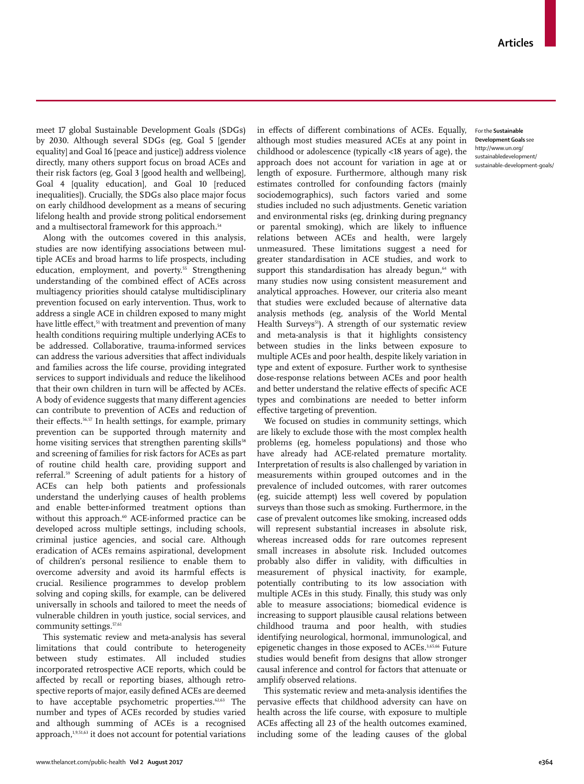meet 17 global Sustainable Development Goals (SDGs) by 2030. Although several SDGs (eg, Goal 5 [gender equality] and Goal 16 [peace and justice]) address violence directly, many others support focus on broad ACEs and their risk factors (eg, Goal 3 [good health and wellbeing], Goal 4 [quality education], and Goal 10 [reduced inequalities]). Crucially, the SDGs also place major focus on early childhood development as a means of securing lifelong health and provide strong political endorsement and a multisectoral framework for this approach.<sup>54</sup>

Along with the outcomes covered in this analysis, studies are now identifying associations between multiple ACEs and broad harms to life prospects, including education, employment, and poverty.<sup>55</sup> Strengthening understanding of the combined effect of ACEs across multiagency priorities should catalyse multidisciplinary prevention focused on early intervention. Thus, work to address a single ACE in children exposed to many might have little effect,<sup>51</sup> with treatment and prevention of many health conditions requiring multiple underlying ACEs to be addressed. Collaborative, trauma-informed services can address the various adversities that affect individuals and families across the life course, providing integrated services to support individuals and reduce the likelihood that their own children in turn will be affected by ACEs. A body of evidence suggests that many different agencies can contribute to prevention of ACEs and reduction of their effects.56,57 In health settings, for example, primary prevention can be supported through maternity and home visiting services that strengthen parenting skills<sup>58</sup> and screening of families for risk factors for ACEs as part of routine child health care, providing support and referral.59 Screening of adult patients for a history of ACEs can help both patients and professionals understand the underlying causes of health problems and enable better-informed treatment options than without this approach.<sup>60</sup> ACE-informed practice can be developed across multiple settings, including schools, criminal justice agencies, and social care. Although eradication of ACEs remains aspirational, development of children's personal resilience to enable them to overcome adversity and avoid its harmful effects is crucial. Resilience programmes to develop problem solving and coping skills, for example, can be delivered universally in schools and tailored to meet the needs of vulnerable children in youth justice, social services, and community settings.<sup>57,61</sup>

This systematic review and meta-analysis has several limitations that could contribute to heterogeneity between study estimates. All included studies incorporated retrospective ACE reports, which could be affected by recall or reporting biases, although retrospective reports of major, easily defined ACEs are deemed to have acceptable psychometric properties.62,63 The number and types of ACEs recorded by studies varied and although summing of ACEs is a recognised approach,<sup>1,9,51,63</sup> it does not account for potential variations in effects of different combinations of ACEs. Equally, although most studies measured ACEs at any point in childhood or adolescence (typically <18 years of age), the approach does not account for variation in age at or length of exposure. Furthermore, although many risk estimates controlled for confounding factors (mainly sociodemographics), such factors varied and some studies included no such adjustments. Genetic variation and environmental risks (eg, drinking during pregnancy or parental smoking), which are likely to influence relations between ACEs and health, were largely unmeasured. These limitations suggest a need for greater standardisation in ACE studies, and work to support this standardisation has already begun, $64$  with many studies now using consistent measurement and analytical approaches. However, our criteria also meant that studies were excluded because of alternative data analysis methods (eg, analysis of the World Mental Health Surveys<sup>51</sup>). A strength of our systematic review and meta-analysis is that it highlights consistency between studies in the links between exposure to multiple ACEs and poor health, despite likely variation in type and extent of exposure. Further work to synthesise dose-response relations between ACEs and poor health and better understand the relative effects of specific ACE types and combinations are needed to better inform effective targeting of prevention.

We focused on studies in community settings, which are likely to exclude those with the most complex health problems (eg, homeless populations) and those who have already had ACE-related premature mortality. Interpretation of results is also challenged by variation in measurements within grouped outcomes and in the prevalence of included outcomes, with rarer outcomes (eg, suicide attempt) less well covered by population surveys than those such as smoking. Furthermore, in the case of prevalent outcomes like smoking, increased odds will represent substantial increases in absolute risk, whereas increased odds for rare outcomes represent small increases in absolute risk. Included outcomes probably also differ in validity, with difficulties in measurement of physical inactivity, for example, potentially contributing to its low association with multiple ACEs in this study. Finally, this study was only able to measure associations; biomedical evidence is increasing to support plausible causal relations between childhood trauma and poor health, with studies identifying neurological, hormonal, immunological, and epigenetic changes in those exposed to ACEs.3,65,66 Future studies would benefit from designs that allow stronger causal inference and control for factors that attenuate or amplify observed relations.

This systematic review and meta-analysis identifies the pervasive effects that childhood adversity can have on health across the life course, with exposure to multiple ACEs affecting all 23 of the health outcomes examined, including some of the leading causes of the global

For the **Sustainable Development Goals** see http://www.un.org/ sustainabledevelopment/ sustainable-development-goals/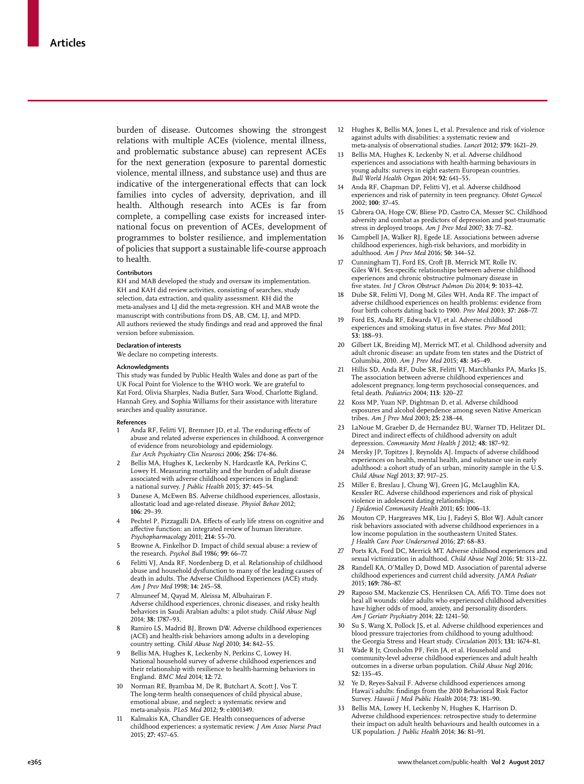burden of disease. Outcomes showing the strongest relations with multiple ACEs (violence, mental illness, and problematic substance abuse) can represent ACEs for the next generation (exposure to parental domestic violence, mental illness, and substance use) and thus are indicative of the intergenerational effects that can lock families into cycles of adversity, deprivation, and ill health. Although research into ACEs is far from complete, a compelling case exists for increased international focus on prevention of ACEs, development of programmes to bolster resilience, and implementation of policies that support a sustainable life-course approach to health.

#### **Contributors**

KH and MAB developed the study and oversaw its implementation. KH and KAH did review activities, consisting of searches, study selection, data extraction, and quality assessment. KH did the meta-analyses and LJ did the meta-regression. KH and MAB wrote the manuscript with contributions from DS, AB, CM, LJ, and MPD. All authors reviewed the study findings and read and approved the final version before submission.

#### **Declaration of interests**

We declare no competing interests.

#### **Acknowledgments**

This study was funded by Public Health Wales and done as part of the UK Focal Point for Violence to the WHO work. We are grateful to Kat Ford, Olivia Sharples, Nadia Butler, Sara Wood, Charlotte Bigland, Hannah Grey, and Sophia Williams for their assistance with literature searches and quality assurance.

#### **References**

- 1 Anda RF, Felitti VJ, Bremner JD, et al. The enduring effects of abuse and related adverse experiences in childhood. A convergence of evidence from neurobiology and epidemiology. *Eur Arch Psychiatry Clin Neurosci* 2006; **256:** 174–86.
- 2 Bellis MA, Hughes K, Leckenby N, Hardcastle KA, Perkins C, Lowey H. Measuring mortality and the burden of adult disease associated with adverse childhood experiences in England: a national survey. *J Public Health* 2015; **37:** 445–54.
- Danese A, McEwen BS. Adverse childhood experiences, allostasis, allostatic load and age-related disease. *Physiol Behav* 2012; **106:** 29–39.
- Pechtel P, Pizzagalli DA. Effects of early life stress on cognitive and affective function: an integrated review of human literature. *Psychopharmacology* 2011; **214:** 55–70.
- 5 Browne A, Finkelhor D. Impact of child sexual abuse: a review of the research. *Psychol Bull* 1986; **99:** 66–77.
- 6 Felitti VJ, Anda RF, Nordenberg D, et al. Relationship of childhood abuse and household dysfunction to many of the leading causes of death in adults. The Adverse Childhood Experiences (ACE) study. *Am J Prev Med* 1998; **14:** 245–58.
- 7 Almuneef M, Qayad M, Aleissa M, Albuhairan F. Adverse childhood experiences, chronic diseases, and risky health behaviors in Saudi Arabian adults: a pilot study. *Child Abuse Negl* 2014; **38:** 1787–93.
- 8 Ramiro LS, Madrid BJ, Brown DW. Adverse childhood experiences (ACE) and health-risk behaviors among adults in a developing country setting. *Child Abuse Negl* 2010; **34:** 842–55.
- 9 Bellis MA, Hughes K, Leckenby N, Perkins C, Lowey H. National household survey of adverse childhood experiences and their relationship with resilience to health-harming behaviors in England. *BMC Med* 2014; **12:** 72.
- 10 Norman RE, Byambaa M, De R, Butchart A, Scott J, Vos T. The long-term health consequences of child physical abuse, emotional abuse, and neglect: a systematic review and meta-analysis. *PLoS Med* 2012; **9:** e1001349.
- 11 Kalmakis KA, Chandler GE. Health consequences of adverse childhood experiences: a systematic review. *J Am Assoc Nurse Pract*  2015; **27:** 457–65.
- 12 Hughes K, Bellis MA, Jones L, et al. Prevalence and risk of violence against adults with disabilities: a systematic review and meta-analysis of observational studies. *Lancet* 2012; **379:** 1621–29.
- 13 Bellis MA, Hughes K, Leckenby N, et al. Adverse childhood experiences and associations with health-harming behaviours in young adults: surveys in eight eastern European countries. *Bull World Health Organ* 2014; **92:** 641–55.
- 14 Anda RF, Chapman DP, Felitti VJ, et al. Adverse childhood experiences and risk of paternity in teen pregnancy. *Obstet Gynecol* 2002; **100:** 37–45.
- 15 Cabrera OA, Hoge CW, Bliese PD, Castro CA, Messer SC. Childhood adversity and combat as predictors of depression and post-traumatic stress in deployed troops. *Am J Prev Med* 2007; **33:** 77–82.
- Campbell JA, Walker RJ, Egede LE. Associations between adverse childhood experiences, high-risk behaviors, and morbidity in adulthood. *Am J Prev Med* 2016; **50:** 344–52.
- 17 Cunningham TJ, Ford ES, Croft JB, Merrick MT, Rolle IV, Giles WH. Sex-specific relationships between adverse childhood experiences and chronic obstructive pulmonary disease in five states*. Int J Chron Obstruct Pulmon Dis* 2014; **9:** 1033–42.
- 18 Dube SR, Felitti VJ, Dong M, Giles WH, Anda RF. The impact of adverse childhood experiences on health problems: evidence from four birth cohorts dating back to 1900. *Prev Med* 2003; **37:** 268–77.
- 19 Ford ES, Anda RF, Edwards VJ, et al. Adverse childhood experiences and smoking status in five states. *Prev Med* 2011; **53:** 188–93.
- 20 Gilbert LK, Breiding MJ, Merrick MT, et al. Childhood adversity and adult chronic disease: an update from ten states and the District of Columbia, 2010. *Am J Prev Med* 2015; **48:** 345–49.
- 21 Hillis SD, Anda RF, Dube SR, Felitti VJ, Marchbanks PA, Marks JS. The association between adverse childhood experiences and adolescent pregnancy, long-term psychosocial consequences, and fetal death. *Pediatrics* 2004; **113:** 320–27.
- Koss MP, Yuan NP, Dightman D, et al. Adverse childhood exposures and alcohol dependence among seven Native American tribes. *Am J Prev Med* 2003; **25:** 238–44.
- 23 LaNoue M, Graeber D, de Hernandez BU, Warner TD, Helitzer DL. Direct and indirect effects of childhood adversity on adult depression. *Community Ment Health J* 2012; **48:** 187–92.
- 24 Mersky JP, Topitzes J, Reynolds AJ. Impacts of adverse childhood experiences on health, mental health, and substance use in early adulthood: a cohort study of an urban, minority sample in the U.S. *Child Abuse Negl* 2013; **37:** 917–25.
- 25 Miller E, Breslau J, Chung WJ, Green JG, McLaughlin KA, Kessler RC. Adverse childhood experiences and risk of physical violence in adolescent dating relationships. *J Epidemiol Community Health* 2011; **65:** 1006–13.
- 26 Mouton CP, Hargreaves MK, Liu J, Fadeyi S, Blot WJ. Adult cancer risk behaviors associated with adverse childhood experiences in a low income population in the southeastern United States. *J Health Care Poor Underserved* 2016; **27:** 68–83.
- 27 Ports KA, Ford DC, Merrick MT. Adverse childhood experiences and sexual victimization in adulthood. *Child Abuse Negl* 2016; **51:** 313–22.
- 28 Randell KA, O'Malley D, Dowd MD. Association of parental adverse childhood experiences and current child adversity. *JAMA Pediatr* 2015; **169:** 786–87.
- Raposo SM, Mackenzie CS, Henriksen CA, Afifi TO. Time does not heal all wounds: older adults who experienced childhood adversities have higher odds of mood, anxiety, and personality disorders. *Am J Geriatr Psychiatry* 2014; **22:** 1241–50.
- 30 Su S, Wang X, Pollock JS, et al. Adverse childhood experiences and blood pressure trajectories from childhood to young adulthood: the Georgia Stress and Heart study. *Circulation* 2015; **131:** 1674–81.
- 31 Wade R Jr, Cronholm PF, Fein JA, et al. Household and community-level adverse childhood experiences and adult health outcomes in a diverse urban population. *Child Abuse Negl* 2016; **52:** 135–45.
- 32 Ye D, Reyes-Salvail F. Adverse childhood experiences among Hawai'i adults: findings from the 2010 Behavioral Risk Factor Survey. *Hawaii J Med Public Health* 2014; **73:** 181–90.
- Bellis MA, Lowey H, Leckenby N, Hughes K, Harrison D. Adverse childhood experiences: retrospective study to determine their impact on adult health behaviours and health outcomes in a UK population. *J Public Health* 2014; **36:** 81–91.